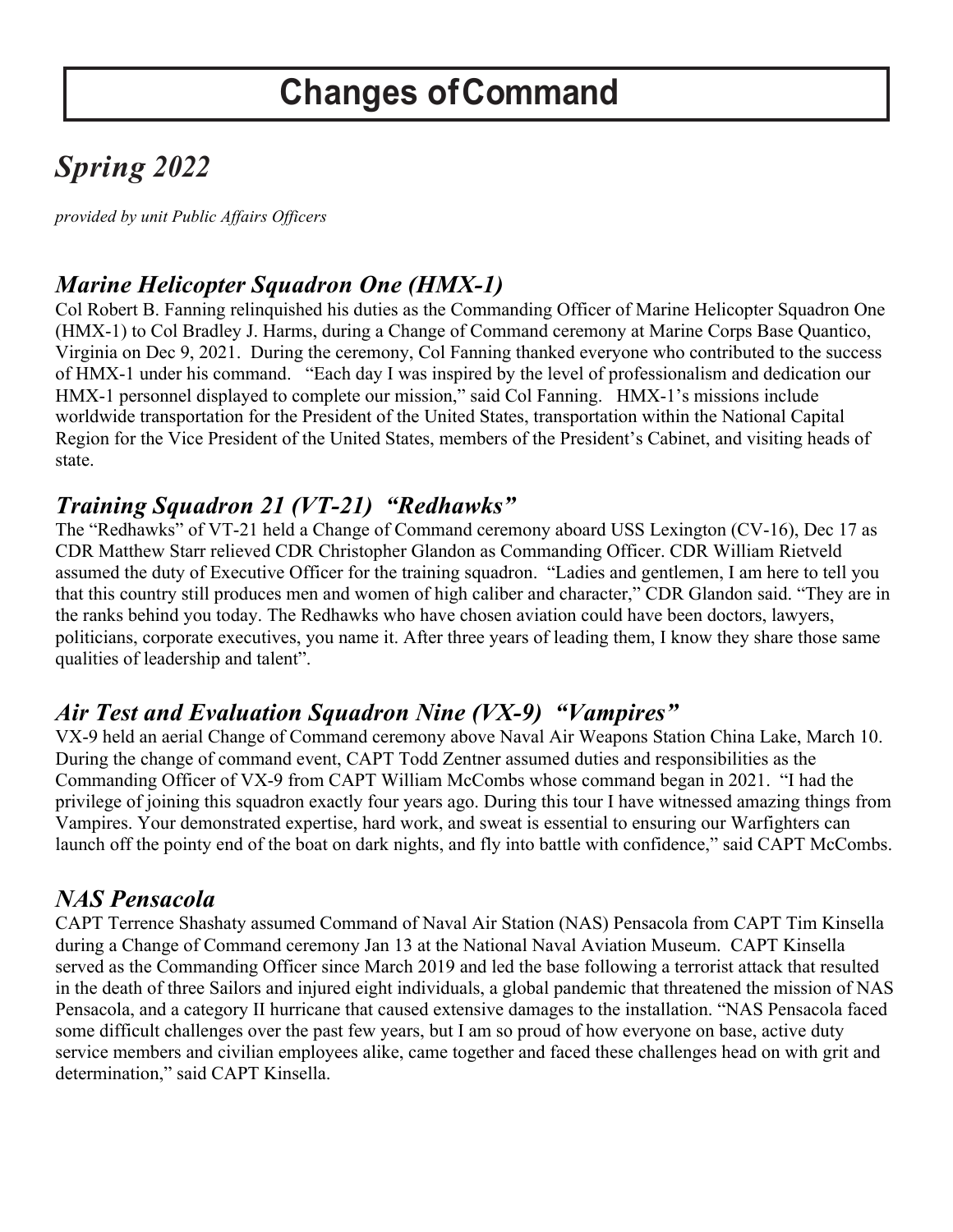## *Spring 2022*

*provided by unit Public Affairs Officers*

### *Marine Helicopter Squadron One (HMX-1)*

Col Robert B. Fanning relinquished his duties as the Commanding Officer of Marine Helicopter Squadron One (HMX-1) to Col Bradley J. Harms, during a Change of Command ceremony at Marine Corps Base Quantico, Virginia on Dec 9, 2021. During the ceremony, Col Fanning thanked everyone who contributed to the success of HMX-1 under his command. "Each day I was inspired by the level of professionalism and dedication our HMX-1 personnel displayed to complete our mission," said Col Fanning. HMX-1's missions include worldwide transportation for the President of the United States, transportation within the National Capital Region for the Vice President of the United States, members of the President's Cabinet, and visiting heads of state.

## *Training Squadron 21 (VT-21) "Redhawks"*

The "Redhawks" of VT-21 held a Change of Command ceremony aboard USS Lexington (CV-16), Dec 17 as CDR Matthew Starr relieved CDR Christopher Glandon as Commanding Officer. CDR William Rietveld assumed the duty of Executive Officer for the training squadron. "Ladies and gentlemen, I am here to tell you that this country still produces men and women of high caliber and character," CDR Glandon said. "They are in the ranks behind you today. The Redhawks who have chosen aviation could have been doctors, lawyers, politicians, corporate executives, you name it. After three years of leading them, I know they share those same qualities of leadership and talent".

### *Air Test and Evaluation Squadron Nine (VX-9) "Vampires"*

VX-9 held an aerial Change of Command ceremony above Naval Air Weapons Station China Lake, March 10. During the change of command event, CAPT Todd Zentner assumed duties and responsibilities as the Commanding Officer of VX-9 from CAPT William McCombs whose command began in 2021. "I had the privilege of joining this squadron exactly four years ago. During this tour I have witnessed amazing things from Vampires. Your demonstrated expertise, hard work, and sweat is essential to ensuring our Warfighters can launch off the pointy end of the boat on dark nights, and fly into battle with confidence," said CAPT McCombs.

#### *NAS Pensacola*

CAPT Terrence Shashaty assumed Command of Naval Air Station (NAS) Pensacola from CAPT Tim Kinsella during a Change of Command ceremony Jan 13 at the National Naval Aviation Museum. CAPT Kinsella served as the Commanding Officer since March 2019 and led the base following a terrorist attack that resulted in the death of three Sailors and injured eight individuals, a global pandemic that threatened the mission of NAS Pensacola, and a category II hurricane that caused extensive damages to the installation. "NAS Pensacola faced some difficult challenges over the past few years, but I am so proud of how everyone on base, active duty service members and civilian employees alike, came together and faced these challenges head on with grit and determination," said CAPT Kinsella.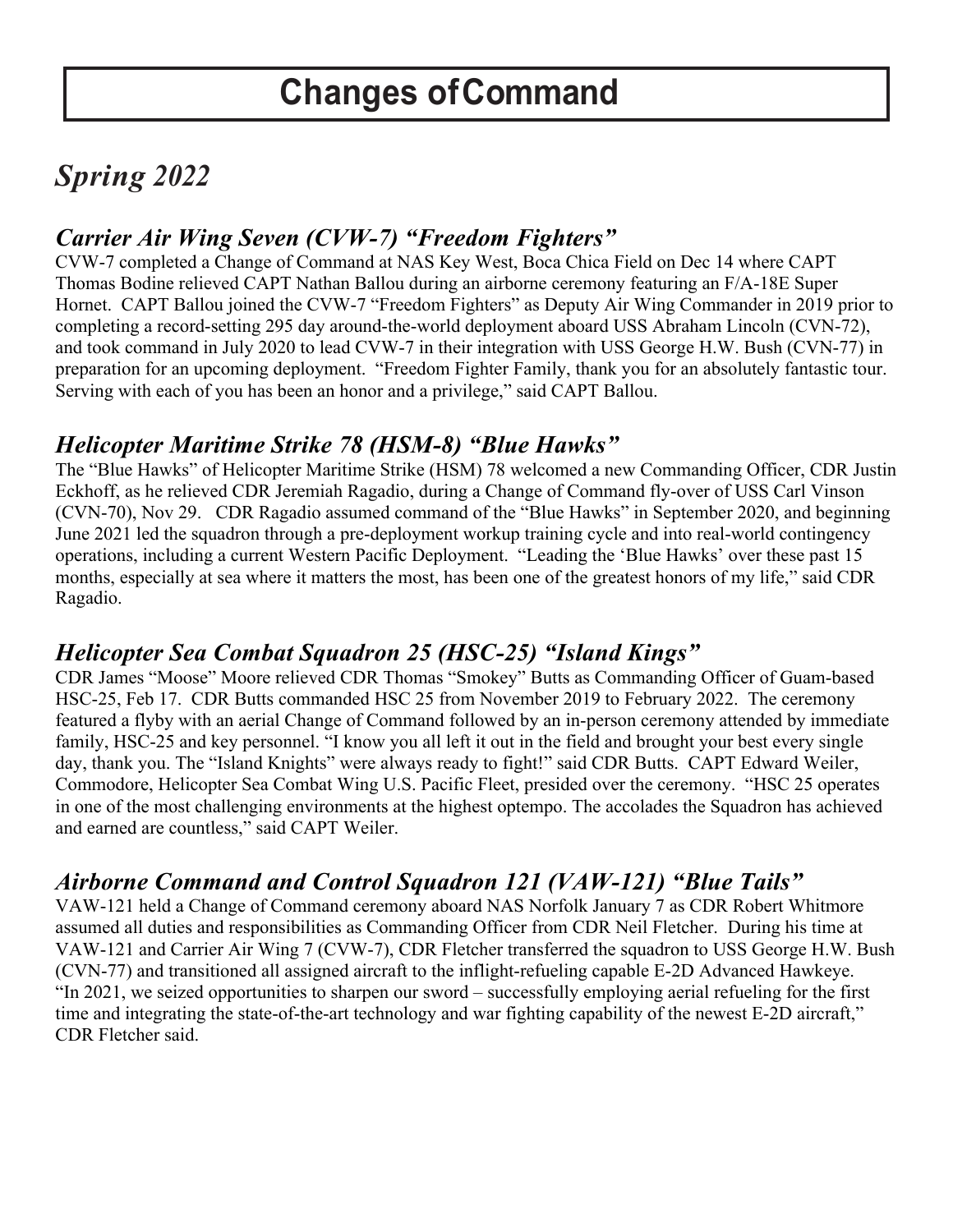## *Spring 2022*

### *Carrier Air Wing Seven (CVW-7) "Freedom Fighters"*

CVW-7 completed a Change of Command at NAS Key West, Boca Chica Field on Dec 14 where CAPT Thomas Bodine relieved CAPT Nathan Ballou during an airborne ceremony featuring an F/A-18E Super Hornet. CAPT Ballou joined the CVW-7 "Freedom Fighters" as Deputy Air Wing Commander in 2019 prior to completing a record-setting 295 day around-the-world deployment aboard USS Abraham Lincoln (CVN-72), and took command in July 2020 to lead CVW-7 in their integration with USS George H.W. Bush (CVN-77) in preparation for an upcoming deployment. "Freedom Fighter Family, thank you for an absolutely fantastic tour. Serving with each of you has been an honor and a privilege," said CAPT Ballou.

## *Helicopter Maritime Strike 78 (HSM-8) "Blue Hawks"*

The "Blue Hawks" of Helicopter Maritime Strike (HSM) 78 welcomed a new Commanding Officer, CDR Justin Eckhoff, as he relieved CDR Jeremiah Ragadio, during a Change of Command fly-over of USS Carl Vinson (CVN-70), Nov 29. CDR Ragadio assumed command of the "Blue Hawks" in September 2020, and beginning June 2021 led the squadron through a pre-deployment workup training cycle and into real-world contingency operations, including a current Western Pacific Deployment. "Leading the 'Blue Hawks' over these past 15 months, especially at sea where it matters the most, has been one of the greatest honors of my life," said CDR Ragadio.

## *Helicopter Sea Combat Squadron 25 (HSC-25) "Island Kings"*

CDR James "Moose" Moore relieved CDR Thomas "Smokey" Butts as Commanding Officer of Guam-based HSC-25, Feb 17. CDR Butts commanded HSC 25 from November 2019 to February 2022. The ceremony featured a flyby with an aerial Change of Command followed by an in-person ceremony attended by immediate family, HSC-25 and key personnel. "I know you all left it out in the field and brought your best every single day, thank you. The "Island Knights" were always ready to fight!" said CDR Butts. CAPT Edward Weiler, Commodore, Helicopter Sea Combat Wing U.S. Pacific Fleet, presided over the ceremony. "HSC 25 operates in one of the most challenging environments at the highest optempo. The accolades the Squadron has achieved and earned are countless," said CAPT Weiler.

## *Airborne Command and Control Squadron 121 (VAW-121) "Blue Tails"*

VAW-121 held a Change of Command ceremony aboard NAS Norfolk January 7 as CDR Robert Whitmore assumed all duties and responsibilities as Commanding Officer from CDR Neil Fletcher. During his time at VAW-121 and Carrier Air Wing 7 (CVW-7), CDR Fletcher transferred the squadron to USS George H.W. Bush (CVN-77) and transitioned all assigned aircraft to the inflight-refueling capable E-2D Advanced Hawkeye. "In 2021, we seized opportunities to sharpen our sword – successfully employing aerial refueling for the first time and integrating the state-of-the-art technology and war fighting capability of the newest E-2D aircraft," CDR Fletcher said.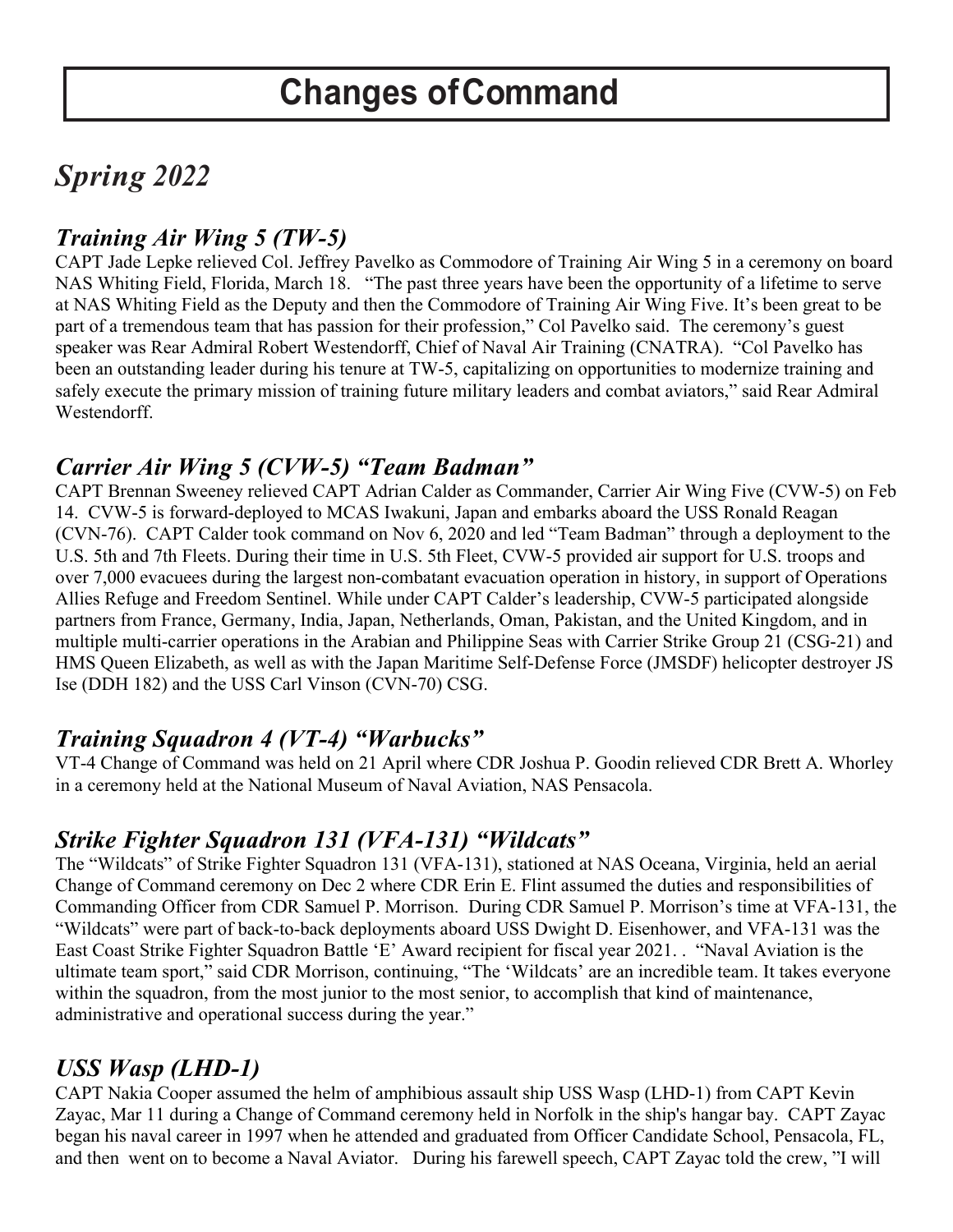## *Spring 2022*

### *Training Air Wing 5 (TW-5)*

CAPT Jade Lepke relieved Col. Jeffrey Pavelko as Commodore of Training Air Wing 5 in a ceremony on board NAS Whiting Field, Florida, March 18. "The past three years have been the opportunity of a lifetime to serve at NAS Whiting Field as the Deputy and then the Commodore of Training Air Wing Five. It's been great to be part of a tremendous team that has passion for their profession," Col Pavelko said. The ceremony's guest speaker was Rear Admiral Robert Westendorff, Chief of Naval Air Training (CNATRA). "Col Pavelko has been an outstanding leader during his tenure at TW-5, capitalizing on opportunities to modernize training and safely execute the primary mission of training future military leaders and combat aviators," said Rear Admiral Westendorff.

#### *Carrier Air Wing 5 (CVW-5) "Team Badman"*

CAPT Brennan Sweeney relieved CAPT Adrian Calder as Commander, Carrier Air Wing Five (CVW-5) on Feb 14. CVW-5 is forward-deployed to MCAS Iwakuni, Japan and embarks aboard the USS Ronald Reagan (CVN-76). CAPT Calder took command on Nov 6, 2020 and led "Team Badman" through a deployment to the U.S. 5th and 7th Fleets. During their time in U.S. 5th Fleet, CVW-5 provided air support for U.S. troops and over 7,000 evacuees during the largest non-combatant evacuation operation in history, in support of Operations Allies Refuge and Freedom Sentinel. While under CAPT Calder's leadership, CVW-5 participated alongside partners from France, Germany, India, Japan, Netherlands, Oman, Pakistan, and the United Kingdom, and in multiple multi-carrier operations in the Arabian and Philippine Seas with Carrier Strike Group 21 (CSG-21) and HMS Queen Elizabeth, as well as with the Japan Maritime Self-Defense Force (JMSDF) helicopter destroyer JS Ise (DDH 182) and the USS Carl Vinson (CVN-70) CSG.

### *Training Squadron 4 (VT-4) "Warbucks"*

VT-4 Change of Command was held on 21 April where CDR Joshua P. Goodin relieved CDR Brett A. Whorley in a ceremony held at the National Museum of Naval Aviation, NAS Pensacola.

### *Strike Fighter Squadron 131 (VFA-131) "Wildcats"*

The "Wildcats" of Strike Fighter Squadron 131 (VFA-131), stationed at NAS Oceana, Virginia, held an aerial Change of Command ceremony on Dec 2 where CDR Erin E. Flint assumed the duties and responsibilities of Commanding Officer from CDR Samuel P. Morrison. During CDR Samuel P. Morrison's time at VFA-131, the "Wildcats" were part of back-to-back deployments aboard USS Dwight D. Eisenhower, and VFA-131 was the East Coast Strike Fighter Squadron Battle 'E' Award recipient for fiscal year 2021. . "Naval Aviation is the ultimate team sport," said CDR Morrison, continuing, "The 'Wildcats' are an incredible team. It takes everyone within the squadron, from the most junior to the most senior, to accomplish that kind of maintenance, administrative and operational success during the year."

### *USS Wasp (LHD-1)*

CAPT Nakia Cooper assumed the helm of amphibious assault ship USS Wasp (LHD-1) from CAPT Kevin Zayac, Mar 11 during a Change of Command ceremony held in Norfolk in the ship's hangar bay. CAPT Zayac began his naval career in 1997 when he attended and graduated from Officer Candidate School, Pensacola, FL, and then went on to become a Naval Aviator. During his farewell speech, CAPT Zayac told the crew, "I will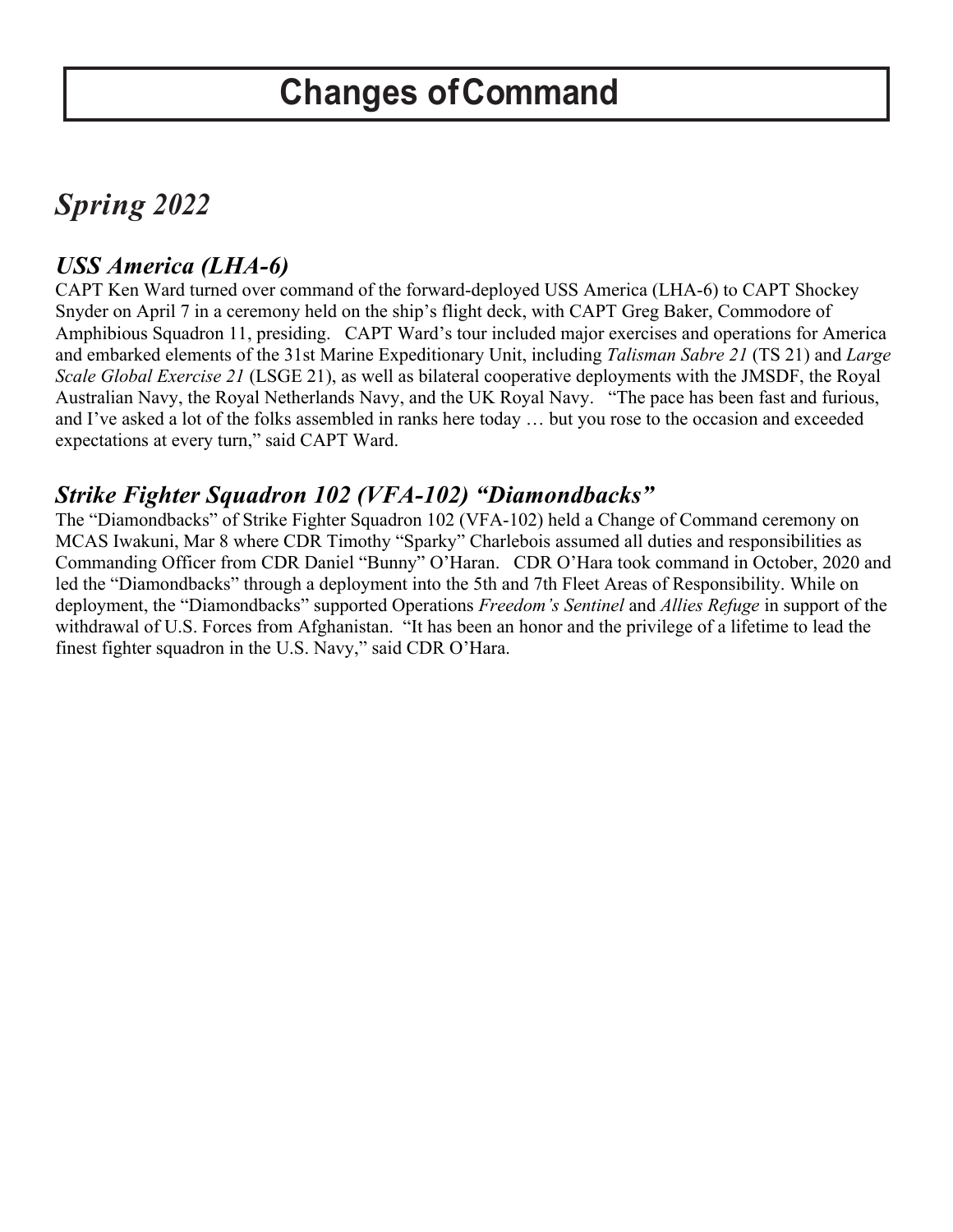## *Spring 2022*

### *USS America (LHA-6)*

CAPT Ken Ward turned over command of the forward-deployed USS America (LHA-6) to CAPT Shockey Snyder on April 7 in a ceremony held on the ship's flight deck, with CAPT Greg Baker, Commodore of Amphibious Squadron 11, presiding. CAPT Ward's tour included major exercises and operations for America and embarked elements of the 31st Marine Expeditionary Unit, including *Talisman Sabre 21* (TS 21) and *Large Scale Global Exercise 21* (LSGE 21), as well as bilateral cooperative deployments with the JMSDF, the Royal Australian Navy, the Royal Netherlands Navy, and the UK Royal Navy. "The pace has been fast and furious, and I've asked a lot of the folks assembled in ranks here today … but you rose to the occasion and exceeded expectations at every turn," said CAPT Ward.

### *Strike Fighter Squadron 102 (VFA-102) "Diamondbacks"*

The "Diamondbacks" of Strike Fighter Squadron 102 (VFA-102) held a Change of Command ceremony on MCAS Iwakuni, Mar 8 where CDR Timothy "Sparky" Charlebois assumed all duties and responsibilities as Commanding Officer from CDR Daniel "Bunny" O'Haran. CDR O'Hara took command in October, 2020 and led the "Diamondbacks" through a deployment into the 5th and 7th Fleet Areas of Responsibility. While on deployment, the "Diamondbacks" supported Operations *Freedom's Sentinel* and *Allies Refuge* in support of the withdrawal of U.S. Forces from Afghanistan. "It has been an honor and the privilege of a lifetime to lead the finest fighter squadron in the U.S. Navy," said CDR O'Hara.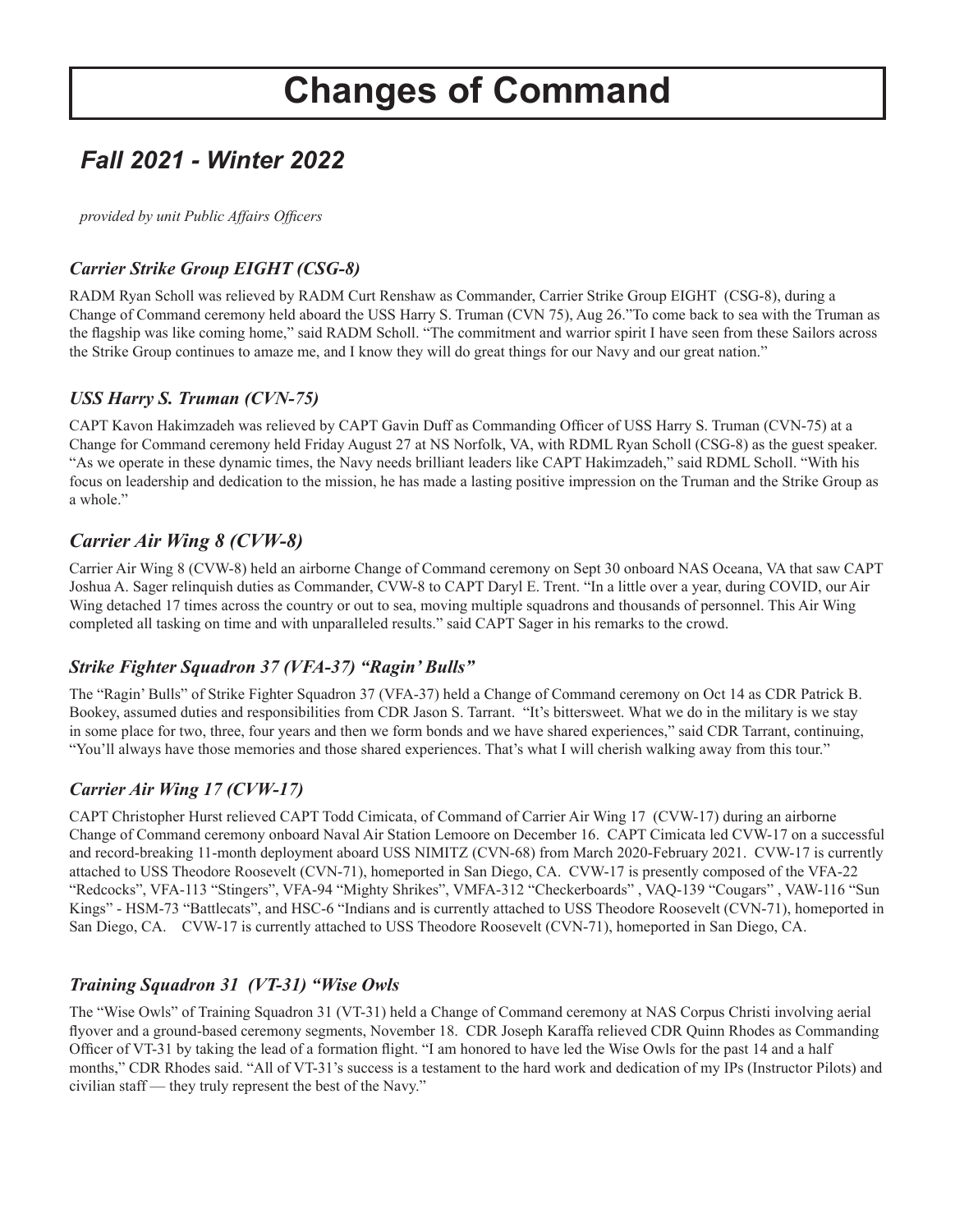## *Fall 2021 - Winter 2022*

*provided by unit Public Affairs Offcers* 

#### *Carrier Strike Group EIGHT (CSG-8)*

RADM Ryan Scholl was relieved by RADM Curt Renshaw as Commander, Carrier Strike Group EIGHT (CSG-8), during a Change of Command ceremony held aboard the USS Harry S. Truman (CVN 75), Aug 26."To come back to sea with the Truman as the fagship was like coming home," said RADM Scholl. "The commitment and warrior spirit I have seen from these Sailors across the Strike Group continues to amaze me, and I know they will do great things for our Navy and our great nation."

#### *USS Harry S. Truman (CVN-75)*

CAPT Kavon Hakimzadeh was relieved by CAPT Gavin Duff as Commanding Offcer of USS Harry S. Truman (CVN-75) at a Change for Command ceremony held Friday August 27 at NS Norfolk, VA, with RDML Ryan Scholl (CSG-8) as the guest speaker. "As we operate in these dynamic times, the Navy needs brilliant leaders like CAPT Hakimzadeh," said RDML Scholl. "With his focus on leadership and dedication to the mission, he has made a lasting positive impression on the Truman and the Strike Group as a whole."

#### *Carrier Air Wing 8 (CVW-8)*

Carrier Air Wing 8 (CVW-8) held an airborne Change of Command ceremony on Sept 30 onboard NAS Oceana, VA that saw CAPT Joshua A. Sager relinquish duties as Commander, CVW-8 to CAPT Daryl E. Trent. "In a little over a year, during COVID, our Air Wing detached 17 times across the country or out to sea, moving multiple squadrons and thousands of personnel. This Air Wing completed all tasking on time and with unparalleled results." said CAPT Sager in his remarks to the crowd.

#### *Strike Fighter Squadron 37 (VFA-37) "Ragin' Bulls"*

The "Ragin' Bulls" of Strike Fighter Squadron 37 (VFA-37) held a Change of Command ceremony on Oct 14 as CDR Patrick B. Bookey, assumed duties and responsibilities from CDR Jason S. Tarrant. "It's bittersweet. What we do in the military is we stay in some place for two, three, four years and then we form bonds and we have shared experiences," said CDR Tarrant, continuing, "You'll always have those memories and those shared experiences. That's what I will cherish walking away from this tour."

#### *Carrier Air Wing 17 (CVW-17)*

CAPT Christopher Hurst relieved CAPT Todd Cimicata, of Command of Carrier Air Wing 17 (CVW-17) during an airborne Change of Command ceremony onboard Naval Air Station Lemoore on December 16. CAPT Cimicata led CVW-17 on a successful and record-breaking 11-month deployment aboard USS NIMITZ (CVN-68) from March 2020-February 2021. CVW-17 is currently attached to USS Theodore Roosevelt (CVN-71), homeported in San Diego, CA. CVW-17 is presently composed of the VFA-22 "Redcocks", VFA-113 "Stingers", VFA-94 "Mighty Shrikes", VMFA-312 "Checkerboards" , VAQ-139 "Cougars" , VAW-116 "Sun Kings" - HSM-73 "Battlecats", and HSC-6 "Indians and is currently attached to USS Theodore Roosevelt (CVN-71), homeported in San Diego, CA. CVW-17 is currently attached to USS Theodore Roosevelt (CVN-71), homeported in San Diego, CA.

#### *Training Squadron 31 (VT-31) "Wise Owls*

The "Wise Owls" of Training Squadron 31 (VT-31) held a Change of Command ceremony at NAS Corpus Christi involving aerial fyover and a ground-based ceremony segments, November 18. CDR Joseph Karaffa relieved CDR Quinn Rhodes as Commanding Officer of VT-31 by taking the lead of a formation flight. "I am honored to have led the Wise Owls for the past 14 and a half months," CDR Rhodes said. "All of VT-31's success is a testament to the hard work and dedication of my IPs (Instructor Pilots) and civilian staff — they truly represent the best of the Navy."